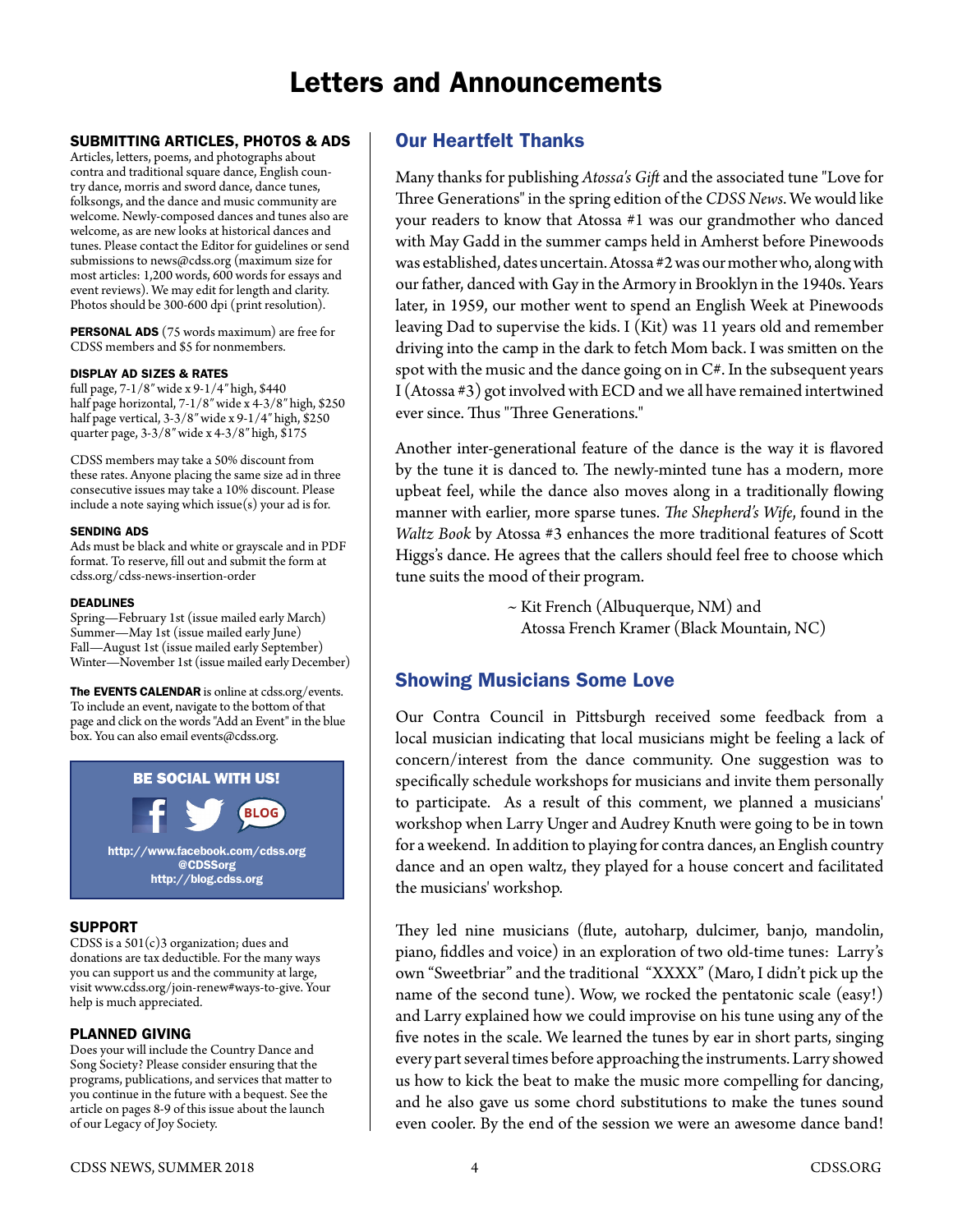# Letters and Announcements

## SUBMITTING ARTICLES, PHOTOS & ADS

Articles, letters, poems, and photographs about contra and traditional square dance, English country dance, morris and sword dance, dance tunes, folksongs, and the dance and music community are welcome. Newly-composed dances and tunes also are welcome, as are new looks at historical dances and tunes. Please contact the Editor for guidelines or send submissions to [news@cdss.org](mailto:news@cdss.org) (maximum size for most articles: 1,200 words, 600 words for essays and event reviews). We may edit for length and clarity. Photos should be 300-600 dpi (print resolution).

PERSONAL ADS (75 words maximum) are free for CDSS members and \$5 for nonmembers.

### DISPLAY AD SIZES & RATES

full page, 7-1/8″ wide x 9-1/4″ high, \$440 half page horizontal, 7-1/8″ wide x 4-3/8″ high, \$250 half page vertical, 3-3/8″ wide x 9-1/4″ high, \$250 quarter page, 3-3/8″ wide x 4-3/8″ high, \$175

CDSS members may take a 50% discount from these rates. Anyone placing the same size ad in three consecutive issues may take a 10% discount. Please include a note saying which issue(s) your ad is for.

#### SENDING ADS

Ads must be black and white or grayscale and in PDF format. To reserve, fill out and submit the form at cdss.org/cdss-news-insertion-order

#### DEADLINES

Spring—February 1st (issue mailed early March) Summer—May 1st (issue mailed early June) Fall—August 1st (issue mailed early September) Winter—November 1st (issue mailed early December)

The EVENTS CALENDAR is online at cdss.org/events. To include an event, navigate to the bottom of that page and click on the words "Add an Event" in the blue box. You can also email events@cdss.org.



## SUPPORT

CDSS is a 501(c)3 organization; dues and donations are tax deductible. For the many ways you can support us and the community at large, visit [www.cdss.org/join-](http://www.cdss.org/join)renew#ways-to-give. Your help is much appreciated.

## PLANNED GIVING

Does your will include the Country Dance and Song Society? Please consider ensuring that the programs, publications, and services that matter to you continue in the future with a bequest. See the article on pages 8-9 of this issue about the launch of our Legacy of Joy Society.

# Our Heartfelt Thanks

Many thanks for publishing *Atossa's Gift* and the associated tune "Love for Three Generations" in the spring edition of the *CDSS News*. We would like your readers to know that Atossa #1 was our grandmother who danced with May Gadd in the summer camps held in Amherst before Pinewoods was established, dates uncertain. Atossa #2 was our mother who, along with our father, danced with Gay in the Armory in Brooklyn in the 1940s. Years later, in 1959, our mother went to spend an English Week at Pinewoods leaving Dad to supervise the kids. I (Kit) was 11 years old and remember driving into the camp in the dark to fetch Mom back. I was smitten on the spot with the music and the dance going on in  $C#$ . In the subsequent years I (Atossa #3) got involved with ECD and we all have remained intertwined ever since. Thus "Three Generations."

Another inter-generational feature of the dance is the way it is flavored by the tune it is danced to. The newly-minted tune has a modern, more upbeat feel, while the dance also moves along in a traditionally flowing manner with earlier, more sparse tunes. *The Shepherd's Wife*, found in the *Waltz Book* by Atossa #3 enhances the more traditional features of Scott Higgs's dance. He agrees that the callers should feel free to choose which tune suits the mood of their program.

> ~ Kit French (Albuquerque, NM) and Atossa French Kramer (Black Mountain, NC)

# Showing Musicians Some Love

Our Contra Council in Pittsburgh received some feedback from a local musician indicating that local musicians might be feeling a lack of concern/interest from the dance community. One suggestion was to specifically schedule workshops for musicians and invite them personally to participate. As a result of this comment, we planned a musicians' workshop when Larry Unger and Audrey Knuth were going to be in town for a weekend. In addition to playing for contra dances, an English country dance and an open waltz, they played for a house concert and facilitated the musicians' workshop.

They led nine musicians (flute, autoharp, dulcimer, banjo, mandolin, piano, fiddles and voice) in an exploration of two old-time tunes: Larry's own "Sweetbriar" and the traditional "XXXX" (Maro, I didn't pick up the name of the second tune). Wow, we rocked the pentatonic scale (easy!) and Larry explained how we could improvise on his tune using any of the five notes in the scale. We learned the tunes by ear in short parts, singing every part several times before approaching the instruments. Larry showed us how to kick the beat to make the music more compelling for dancing, and he also gave us some chord substitutions to make the tunes sound even cooler. By the end of the session we were an awesome dance band!